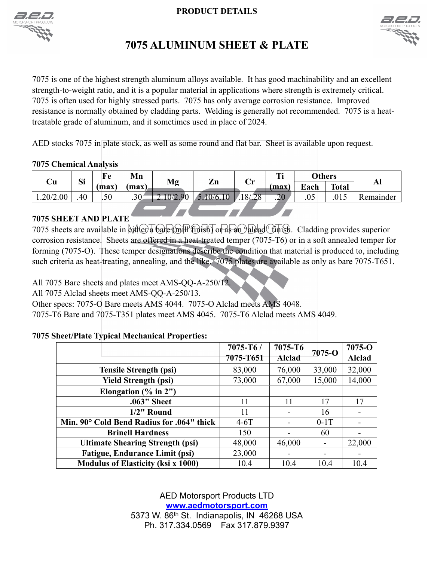### **PRODUCT DETAILS**





## **7075 ALUMINUM SHEET & PLATE**

7075 is one of the highest strength aluminum alloys available. It has good machinability and an excellent strength-to-weight ratio, and it is a popular material in applications where strength is extremely critical. 7075 is often used for highly stressed parts. 7075 has only average corrosion resistance. Improved resistance is normally obtained by cladding parts. Welding is generally not recommended. 7075 is a heattreatable grade of aluminum, and it sometimes used in place of 2024.

AED stocks 7075 in plate stock, as well as some round and flat bar. Sheet is available upon request.

### **7075 Chemical Analysis**

| Сu       | Si  | Fe   | Mn   | Mg          | $\mathbf{Zn}$ | $\mathbf{Cr}$ | т:<br>. . |      | <b>Others</b> | Al        |
|----------|-----|------|------|-------------|---------------|---------------|-----------|------|---------------|-----------|
|          |     | max) | max) |             |               |               | (max)     | Each | <b>Total</b>  |           |
| .20/2.00 | .40 | .50  | .30  | 0/2.9<br>or | 10/6.10       | 18/28         | .20       | .05  | .015          | Remainder |
|          |     |      |      |             |               |               |           |      |               |           |

## **7075 SHEET AND PLATE**

7075 sheets are available in either a bare (mill finish) or as an "alcad" finish. Cladding provides superior corrosion resistance. Sheets are offered in a heat-treated temper (7075-T6) or in a soft annealed temper for forming (7075-O). These temper designations describe the condition that material is produced to, including such criteria as heat-treating, annealing, and the like. 7075 plates are available as only as bare 7075-T651.

All 7075 Bare sheets and plates meet AMS-QQ-A-250/12.

All 7075 Alclad sheets meet AMS-QQ-A-250/13.

Other specs: 7075-O Bare meets AMS 4044. 7075-O Alclad meets AMS 4048.

7075-T6 Bare and 7075-T351 plates meet AMS 4045. 7075-T6 Alclad meets AMS 4049.

## **7075 Sheet/Plate Typical Mechanical Properties:**

|                                           | $7075 - T6/$ | 7075-T6       | $7075 - O$               | $7075 - O$    |
|-------------------------------------------|--------------|---------------|--------------------------|---------------|
|                                           | 7075-T651    | <b>Alclad</b> |                          | <b>Alclad</b> |
| <b>Tensile Strength (psi)</b>             | 83,000       | 76,000        | 33,000                   | 32,000        |
| <b>Yield Strength (psi)</b>               | 73,000       | 67,000        | 15,000                   | 14,000        |
| Elongation $(\%$ in $2")$                 |              |               |                          |               |
| .063" Sheet                               | 11           | 11            | 17                       | 17            |
| $1/2$ " Round                             | 11           |               | 16                       |               |
| Min. 90° Cold Bend Radius for .064" thick | $4-6T$       |               | $0-1T$                   |               |
| <b>Brinell Hardness</b>                   | 150          |               | 60                       |               |
| <b>Ultimate Shearing Strength (psi)</b>   | 48,000       | 46,000        |                          | 22,000        |
| <b>Fatigue, Endurance Limit (psi)</b>     | 23,000       |               | $\overline{\phantom{a}}$ |               |
| <b>Modulus of Elasticity (ksi x 1000)</b> | 10.4         | 10.4          | 10.4                     | 10.4          |

AED Motorsport Products LTD **[www.aedmotorsport.com](http://www.aedmotorsport.com/)** 5373 W. 86<sup>th</sup> St. Indianapolis, IN 46268 USA Ph. 317.334.0569 Fax 317.879.9397